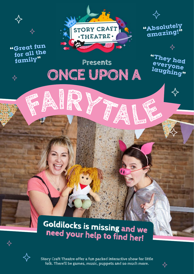

 $\Leftrightarrow$ 

 $\Leftrightarrow$ 



**Presents**

**ONCE UPON A**

**"Absolutely amazing!"**

> **"They had everyone laughing"**

# **Goldilocks is missing and we need your help to find her!**



✧

**Story Craft Theatre offer a fun packed interactive show for little folk. There'll be games, music, puppets and so much more.**

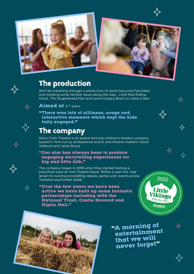



✧

2022

Little *ikings* York for k **WINNER** 

## **The production**

We'll be travelling through a whole host of some favourite Fairytales and meeting some familiar faces along the way… Little Red Riding Hood, The Gingerbread Man and some hungry Bears to name a few!



 $\Leftrightarrow$ 

**Aimed at** 2-7 years

**"There was lots of silliness, songs and interactive elements which kept the kids fully engaged."**

## **The company**

Story Craft Theatre is an award winning children's theatre company based in York run by professional actors and theatre-makers Cassie Vallance and Janet Bruce.

#### **"Our aim has always been to produce engaging storytelling experiences for big and little folk."**

The company began in 2018 when they started hosting a preschool class at York Theatre Royal. Within a year this had grown to running storytelling classes, parties and events across Yorkshire and further afield.

**"Over the few years we have been active we have built up some fantastic partnerships including with the National Trust, Castle Howard and Kiplin Hall."**



**"A morning o<sup>f</sup> entertainment that we will never forget"**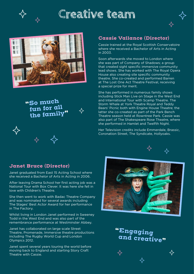

# **Creative team**





**"So muc<sup>h</sup> fun for all the family"**



#### **Cassie Vallance (Director)**

Cassie trained at the Royal Scottish Conservatoire where she received a Bachelor of Arts in Acting in 2003.

Soon afterwards she moved to London where she was part of Company of Shadows; a group that created sight specific immersive community lead shows. She has worked with The Royal Opera House also creating site specific community theatre. She co-created and performed Barren at The Lost One Act Theatre Festival, receiving a special prize for merit.

She has performed in numerous family shows including Stick Man Live on Stage in the West End and International Tour with Scamp Theatre. The Storm Whale at York Theatre Royal and Teddy Bears' Picnic both with Engine House Theatre; the latter she co-created as part of the Park Bench Theatre season held at Rowntree Park. Cassie was also part of The Shakespeare Rose Theatre, where she performed in Hamlet and Twelfth Night.

Her Television credits include Emmerdale, Brassic, Coronation Street, The Syndicate, Hollyoaks.



 $\leftrightarrow$ 

#### **Janet Bruce (Director)**

✧

Janet graduated from East 15 Acting School where she received a Bachelor of Arts in Acting in 2006.

After leaving Drama School her first acting job was a National Tour with Box Clever. It was here she fell in love with Children's Theatre.

She then went to work with Badac Theatre Company and was nominated for several awards including The Stages' Best Actor Award for her performance in The Factory.

Whilst living in London Janet performed in Sweeney Todd in the West End and was also part of the remembrance performance at Westminster Abbey.

Janet has collaborated on large scale Street Theatre, Promenade, Immersive theatre productions including The Rugby World Cup and London Olympics 2012.

Janet spent several years touring the world before moving back to England and starting Story Craft Theatre with Cassie.



**"Engaging and creative"**

 $\leftrightarrow$